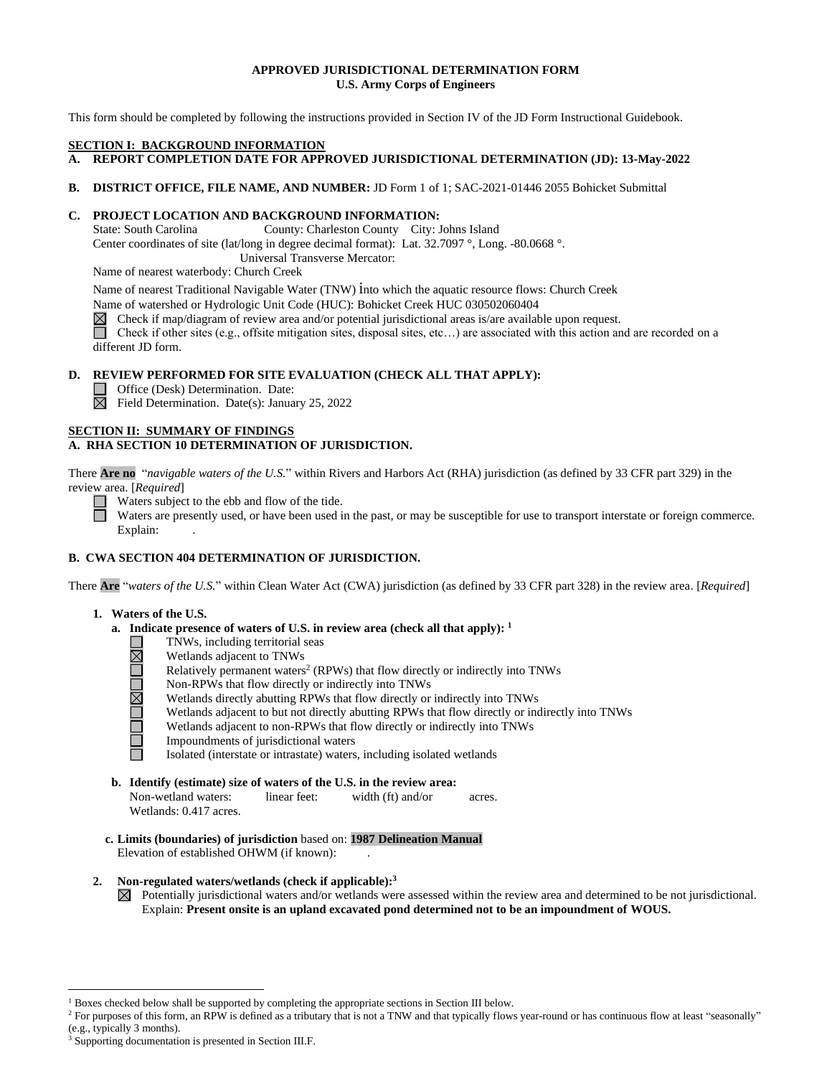# **U.S. Army Corps of Engineers APPROVED JURISDICTIONAL DETERMINATION FORM**

This form should be completed by following the instructions provided in Section IV of the JD Form Instructional Guidebook.

### **SECTION I: BACKGROUND INFORMATION**

- **A. REPORT COMPLETION DATE FOR APPROVED JURISDICTIONAL DETERMINATION (JD): 13-May-2022**
- **B. DISTRICT OFFICE, FILE NAME, AND NUMBER:** JD Form 1 of 1; SAC-2021-01446 2055 Bohicket Submittal

# **C. PROJECT LOCATION AND BACKGROUND INFORMATION:**

State: South Carolina County: Charleston County City: Johns Island

Center coordinates of site (lat/long in degree decimal format): Lat. 32.7097 °, Long. -80.0668 °.

Universal Transverse Mercator:

Name of nearest waterbody: Church Creek

Name of nearest Traditional Navigable Water (TNW) into which the aquatic resource flows: Church Creek

Name of watershed or Hydrologic Unit Code (HUC): Bohicket Creek HUC 030502060404

Check if map/diagram of review area and/or potential jurisdictional areas is/are available upon request.

 different JD form. Check if other sites (e.g., offsite mitigation sites, disposal sites, etc…) are associated with this action and are recorded on a

# **D. REVIEW PERFORMED FOR SITE EVALUATION (CHECK ALL THAT APPLY):**

- Office (Desk) Determination. Date:
- Field Determination. Date(s): January 25, 2022

# **A. RHA SECTION 10 DETERMINATION OF JURISDICTION.**

 There **Are no** "*navigable waters of the U.S.*" within Rivers and Harbors Act (RHA) jurisdiction (as defined by 33 CFR part 329) in the review area. [Required] **SECTION II: SUMMARY OF FINDINGS**<br> **A. RHA SECTION 10 DETERMINATION**<br>
There **Are no** "*navigable waters of the U.S.*" review area. [*Required*]<br>
Waters subject to the ebb and flow of<br>
Waters are presently used, or have be

review area. [*Required*]<br>Waters subject to the ebb and flow of the tide.<br>Waters are presently used, or have been used in<br>Evrilain: Waters are presently used, or have been used in the past, or may be susceptible for use to transport interstate or foreign commerce. Explain:

# **B. CWA SECTION 404 DETERMINATION OF JURISDICTION.**

 Are "<sup>u</sup><br>Nat There **Are** "*waters of the U.S.*" within Clean Water Act (CWA) jurisdiction (as defined by 33 CFR part 328) in the review area. [*Required*]

# **1. Waters of the U.S.**

I~

- **a. Indicate presence of waters of U.S. in review area (check all that apply): 1** 
	- TNWs, including territorial seas
	- Wetlands adjacent to TNWs
	- Relatively permanent waters<sup>2</sup> (RPWs) that flow directly or indirectly into TNWs □
	- □ I~ Non-RPWs that flow directly or indirectly into TNWs
		- Wetlands directly abutting RPWs that flow directly or indirectly into TNWs
	- Wetlands adjacent to but not directly abutting RPWs that flow directly or indirectly into TNWs □
	- Wetlands adjacent to non-RPWs that flow directly or indirectly into TNWs Impoundments of jurisdictional waters □
	- □ b

Isolated (interstate or intrastate) waters, including isolated wetlands

 **b. Identify (estimate) size of waters of the U.S. in the review area:** 

Non-wetland waters: linear feet: width (ft) and/or acres. Wetlands: 0.417 acres.

 **c. Limits (boundaries) of jurisdiction** based on: **1987 Delineation Manual**  Elevation of established OHWM (if known): .

# **2. Non-regulated waters/wetlands (check if applicable): 3**

 Potentially jurisdictional waters and/or wetlands were assessed within the review area and determined to be not jurisdictional.  Explain: **Present onsite is an upland excavated pond determined not to be an impoundment of WOUS.** 

<sup>&</sup>lt;sup>1</sup> Boxes checked below shall be supported by completing the appropriate sections in Section III below.

<sup>&</sup>lt;sup>2</sup> For purposes of this form, an RPW is defined as a tributary that is not a TNW and that typically flows year-round or has continuous flow at least "seasonally" (e.g., typically 3 months). (e.g., typically 3 months).<br><sup>3</sup> Supporting documentation is presented in Section III.F.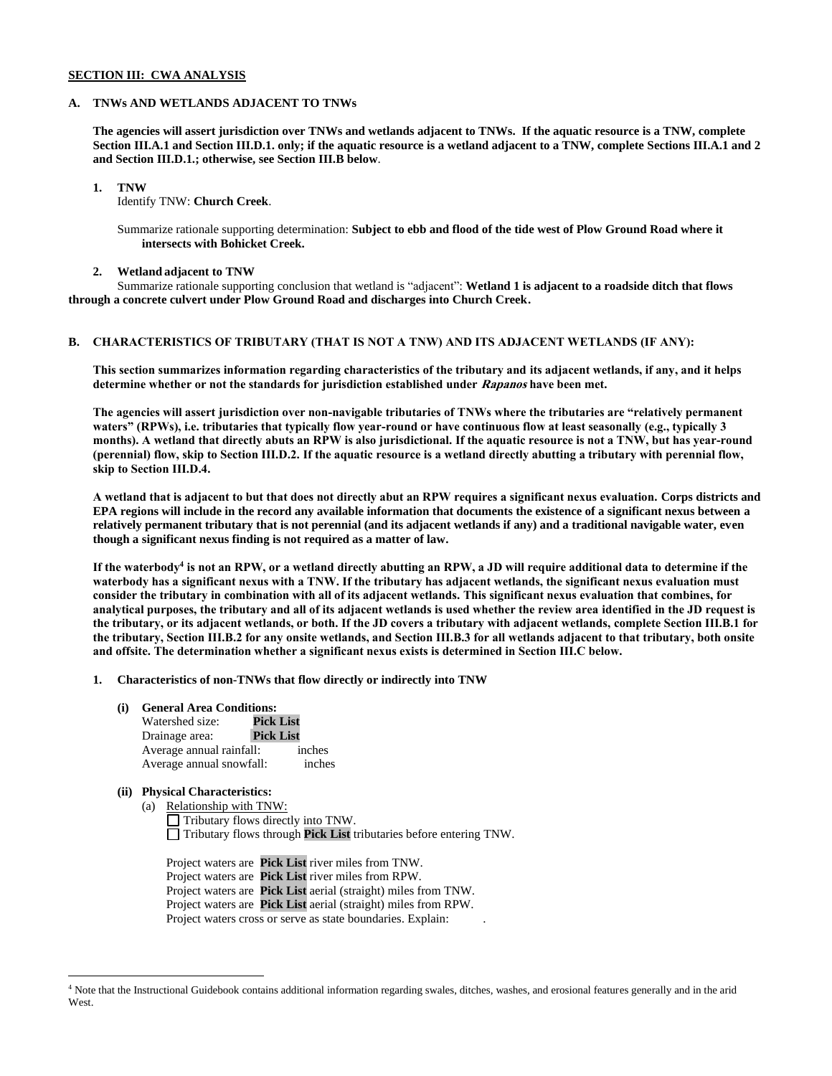#### **SECTION III: CWA ANALYSIS**

### **A. TNWs AND WETLANDS ADJACENT TO TNWs**

 **The agencies will assert jurisdiction over TNWs and wetlands adjacent to TNWs. If the aquatic resource is a TNW, complete Section III.A.1 and Section III.D.1. only; if the aquatic resource is a wetland adjacent to a TNW, complete Sections III.A.1 and 2 and Section III.D.1.; otherwise, see Section III.B below**.

**1. TNW** 

Identify TNW: **Church Creek**.

 Summarize rationale supporting determination: **Subject to ebb and flood of the tide west of Plow Ground Road where it intersects with Bohicket Creek.** 

#### **2. Wetland adjacent to TNW**

 Summarize rationale supporting conclusion that wetland is "adjacent": **Wetland 1 is adjacent to a roadside ditch that flows through a concrete culvert under Plow Ground Road and discharges into Church Creek.** 

#### **B. CHARACTERISTICS OF TRIBUTARY (THAT IS NOT A TNW) AND ITS ADJACENT WETLANDS (IF ANY):**

 **This section summarizes information regarding characteristics of the tributary and its adjacent wetlands, if any, and it helps determine whether or not the standards for jurisdiction established under Rapanos have been met.** 

 **The agencies will assert jurisdiction over non-navigable tributaries of TNWs where the tributaries are "relatively permanent waters" (RPWs), i.e. tributaries that typically flow year-round or have continuous flow at least seasonally (e.g., typically 3 months). A wetland that directly abuts an RPW is also jurisdictional. If the aquatic resource is not a TNW, but has year-round (perennial) flow, skip to Section III.D.2. If the aquatic resource is a wetland directly abutting a tributary with perennial flow, skip to Section III.D.4.** 

 **A wetland that is adjacent to but that does not directly abut an RPW requires a significant nexus evaluation. Corps districts and EPA regions will include in the record any available information that documents the existence of a significant nexus between a relatively permanent tributary that is not perennial (and its adjacent wetlands if any) and a traditional navigable water, even though a significant nexus finding is not required as a matter of law.** 

If the waterbody<sup>4</sup> is not an RPW, or a wetland directly abutting an RPW, a JD will require additional data to determine if the  **waterbody has a significant nexus with a TNW. If the tributary has adjacent wetlands, the significant nexus evaluation must consider the tributary in combination with all of its adjacent wetlands. This significant nexus evaluation that combines, for analytical purposes, the tributary and all of its adjacent wetlands is used whether the review area identified in the JD request is the tributary, or its adjacent wetlands, or both. If the JD covers a tributary with adjacent wetlands, complete Section III.B.1 for the tributary, Section III.B.2 for any onsite wetlands, and Section III.B.3 for all wetlands adjacent to that tributary, both onsite and offsite. The determination whether a significant nexus exists is determined in Section III.C below.** 

#### **1. Characteristics of non-TNWs that flow directly or indirectly into TNW**

- Average annual rainfall: inches Average annual snowfall: inches **(i) General Area Conditions:**  Watershed size: **Pick List**  Drainage area: **Pick List**
- **(ii) Physical Characteristics:** 
	- (a) Relationship with TNW:
		- Tributary flows directly into TNW. □ Tributary flows directly life Tive:<br>□ Tributary flows through **Pick List** tributaries before entering TNW. □ Tributary flows through **Pick List** tributaries before entering TNW. Project waters are **Pick List** river miles from TNW.

Project waters are Pick List river miles from TNW. Project waters are **Pick List** river miles from RPW. Project waters are **Pick List** aerial (straight) miles from TNW. Project waters are **Pick List** aerial (straight) miles from RPW. Project waters cross or serve as state boundaries. Explain: .

<sup>&</sup>lt;sup>4</sup> Note that the Instructional Guidebook contains additional information regarding swales, ditches, washes, and erosional features generally and in the arid **West**.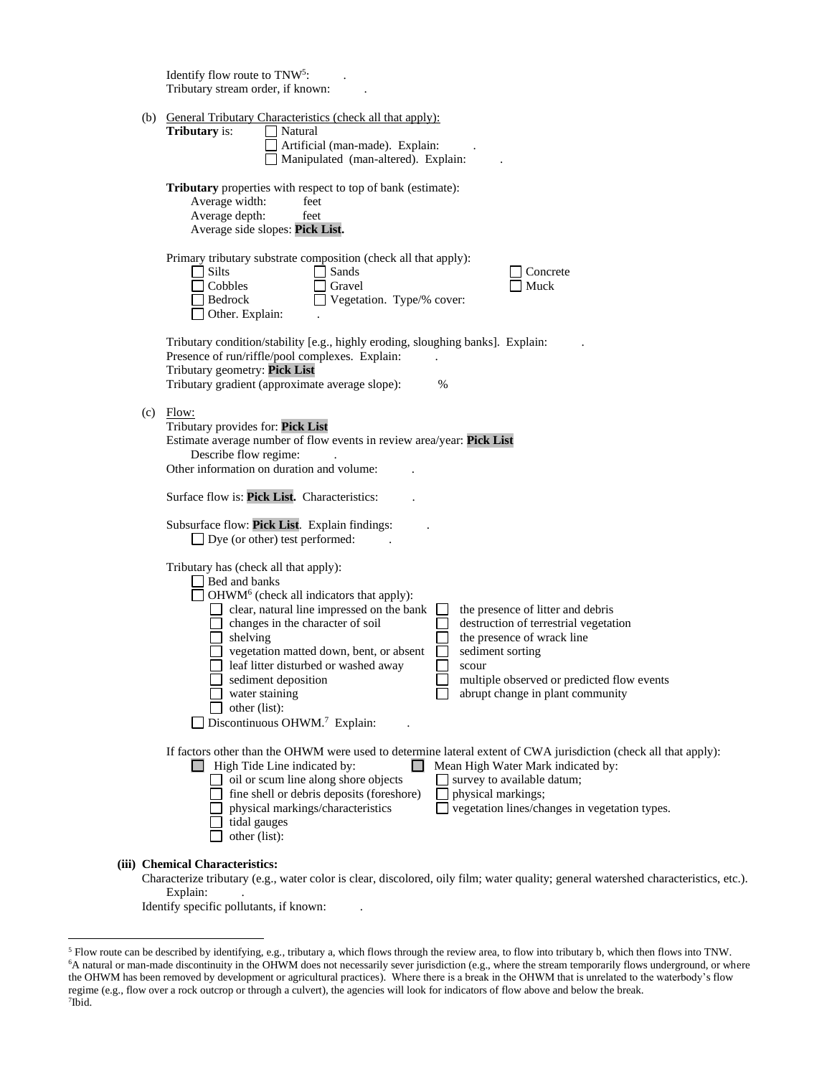|  | Identify flow route to TNW <sup>5</sup> :<br>Tributary stream order, if known:                                                                                                                                                                                                                                                                                                                                                                                                                                                                                                                                       |
|--|----------------------------------------------------------------------------------------------------------------------------------------------------------------------------------------------------------------------------------------------------------------------------------------------------------------------------------------------------------------------------------------------------------------------------------------------------------------------------------------------------------------------------------------------------------------------------------------------------------------------|
|  | (b) General Tributary Characteristics (check all that apply):<br><b>Tributary</b> is:<br>Natural<br>Artificial (man-made). Explain:<br>Manipulated (man-altered). Explain:                                                                                                                                                                                                                                                                                                                                                                                                                                           |
|  | Tributary properties with respect to top of bank (estimate):<br>Average width:<br>feet<br>Average depth:<br>feet<br>Average side slopes: Pick List.                                                                                                                                                                                                                                                                                                                                                                                                                                                                  |
|  | Primary tributary substrate composition (check all that apply):<br>Silts<br>Sands<br>Concrete<br>Cobbles<br>Gravel<br>Muck<br>Bedrock<br>Vegetation. Type/% cover:<br>Other. Explain:                                                                                                                                                                                                                                                                                                                                                                                                                                |
|  | Tributary condition/stability [e.g., highly eroding, sloughing banks]. Explain:<br>Presence of run/riffle/pool complexes. Explain:<br>Tributary geometry: Pick List<br>Tributary gradient (approximate average slope):<br>$\%$                                                                                                                                                                                                                                                                                                                                                                                       |
|  | $(c)$ Flow:<br>Tributary provides for: Pick List<br>Estimate average number of flow events in review area/year: Pick List<br>Describe flow regime:<br>Other information on duration and volume:<br>Surface flow is: Pick List. Characteristics:                                                                                                                                                                                                                                                                                                                                                                      |
|  | Subsurface flow: Pick List. Explain findings:<br>$\Box$ Dye (or other) test performed:                                                                                                                                                                                                                                                                                                                                                                                                                                                                                                                               |
|  | Tributary has (check all that apply):<br>Bed and banks<br>OHWM <sup>6</sup> (check all indicators that apply):<br>clear, natural line impressed on the bank<br>the presence of litter and debris<br>changes in the character of soil<br>destruction of terrestrial vegetation<br>the presence of wrack line<br>shelving<br>vegetation matted down, bent, or absent<br>sediment sorting<br>leaf litter disturbed or washed away<br>scour<br>sediment deposition<br>multiple observed or predicted flow events<br>abrupt change in plant community<br>water staining<br>other (list):<br>Discontinuous OHWM.7 Explain: |
|  | If factors other than the OHWM were used to determine lateral extent of CWA jurisdiction (check all that apply):<br>$\Box$ High Tide Line indicated by:<br>Mean High Water Mark indicated by:<br>oil or scum line along shore objects<br>survey to available datum;<br>fine shell or debris deposits (foreshore)<br>physical markings;<br>vegetation lines/changes in vegetation types.<br>physical markings/characteristics<br>tidal gauges<br>other (list):                                                                                                                                                        |
|  | (iii) Chemical Characteristics:                                                                                                                                                                                                                                                                                                                                                                                                                                                                                                                                                                                      |

Characterize tributary (e.g., water color is clear, discolored, oily film; water quality; general watershed characteristics, etc.). Explain: .

Identify specific pollutants, if known: .

<sup>&</sup>lt;sup>5</sup> Flow route can be described by identifying, e.g., tributary a, which flows through the review area, to flow into tributary b, which then flows into TNW.  $\frac{6}{10}$  as the stream into tributary b, which then flows into regime (e.g., flow over a rock outcrop or through a culvert), the agencies will look for indicators of flow above and below the break.<br><sup>7</sup>Ibid A natural or man-made discontinuity in the OHWM does not necessarily sever jurisdiction (e.g., where the stream temporarily flows underground, or where the OHWM has been removed by development or agricultural practices). Where there is a break in the OHWM that is unrelated to the waterbody's flow  $7$ Ibid.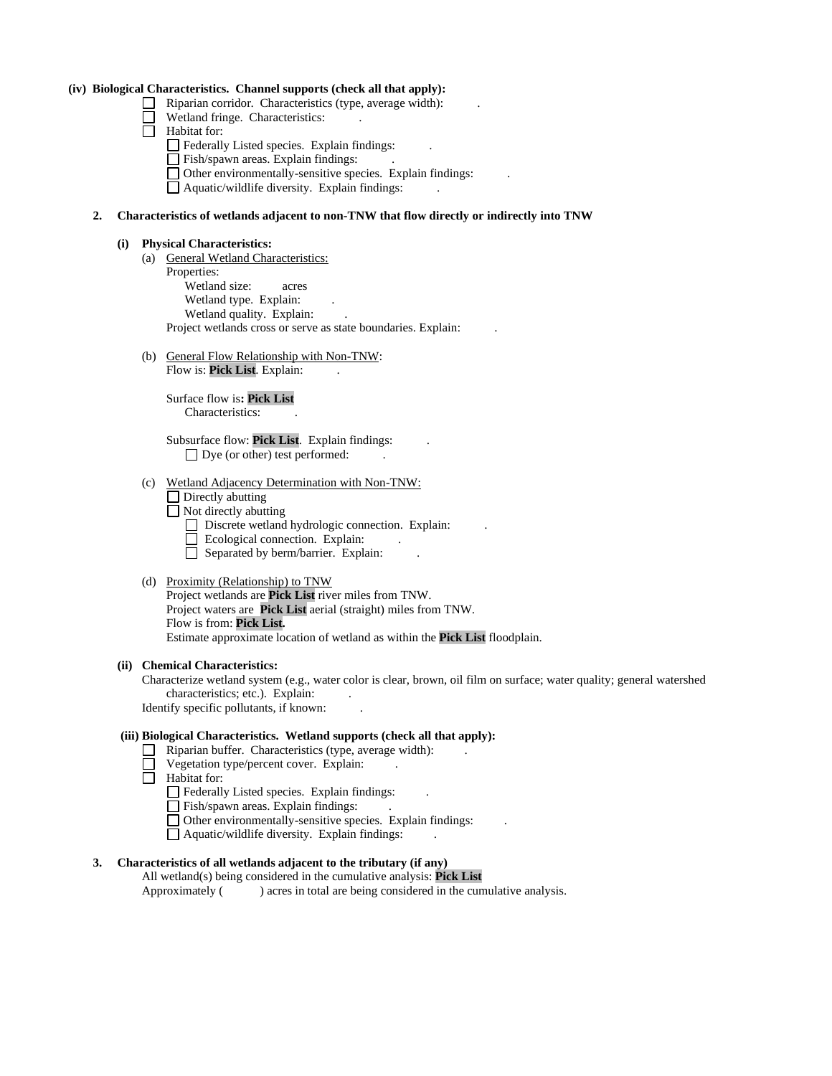#### **(iv) Biological Characteristics. Channel supports (check all that apply):**

- $\Box$  Riparian corridor. Characteristics (type, average width):
	- Wetland fringe. Characteristics: .
- □  $\Box$  Habitat for:
	- Federally Listed species. Explain findings: .
	- □ Federary Eisted species. Explain findings.<br>□ Fish/spawn areas. Explain findings:
	- $\Box$  Fish/spawn areas. Explain findings.<br> $\Box$  Other environmentally-sensitive species. Explain findings:
	- $\Box$  Other environme □ Aquatic/wildlife diversity. Explain findings: .

#### **2. Characteristics of wetlands adjacent to non-TNW that flow directly or indirectly into TNW**

#### **(i) Physical Characteristics:**

- Wetland type. Explain: . Wetland quality. Explain: . Project wetlands cross or serve as state boundaries. Explain: (a) General Wetland Characteristics: Properties: Wetland size: acres
- (b) General Flow Relationship with Non-TNW: Flow is: Pick List. Explain:

 Surface flow is**: Pick List** Characteristics: .

Subsurface flow: **Pick List**. Explain findings: ... □ Dye (or other) test performed: .

- (c) Wetland Adjacency Determination with Non-TNW:
	- $\Box$  Directly abutting
	- □ Directly abutting<br>□ Not directly abutting
	- $\Box$  Not directly abiling<br> $\Box$  Discrete wetland hydrologic connection. Explain:
	- Ecological connection. Explain: .
		- □ □ Separated by berm/barrier. Explain: .
- (d) Proximity (Relationship) to TNW

 Project waters are **Pick List** aerial (straight) miles from TNW. Flow is from: **Pick List.**  Estimate approximate location of wetland as within the **Pick List** floodplain. Project wetlands are **Pick List** river miles from TNW.

#### **(ii) Chemical Characteristics:**

 Characterize wetland system (e.g., water color is clear, brown, oil film on surface; water quality; general watershed characteristics; etc.). Explain: .

Identify specific pollutants, if known: .

#### **(iii) Biological Characteristics. Wetland supports (check all that apply):**

- Riparian buffer. Characteristics (type, average width): ...
- □ Riparian burier. Characteristics (type, average
- □  $\Box$  Habitat for:
	- Federally Listed species. Explain findings: .
	- □ Federary Eisted species. Explain findings.<br>□ Fish/spawn areas. Explain findings:
	- □ Fish/spawn areas. Explain findings.<br>□ Other environmentally-sensitive species. Explain findings: ...
	- $\Box$  Other environments □ Aquatic/wildlife diversity. Explain findings: .

# **3. Characteristics of all wetlands adjacent to the tributary (if any)**

 All wetland(s) being considered in the cumulative analysis: **Pick List**  Approximately ( ) acres in total are being considered in the cumulative analysis.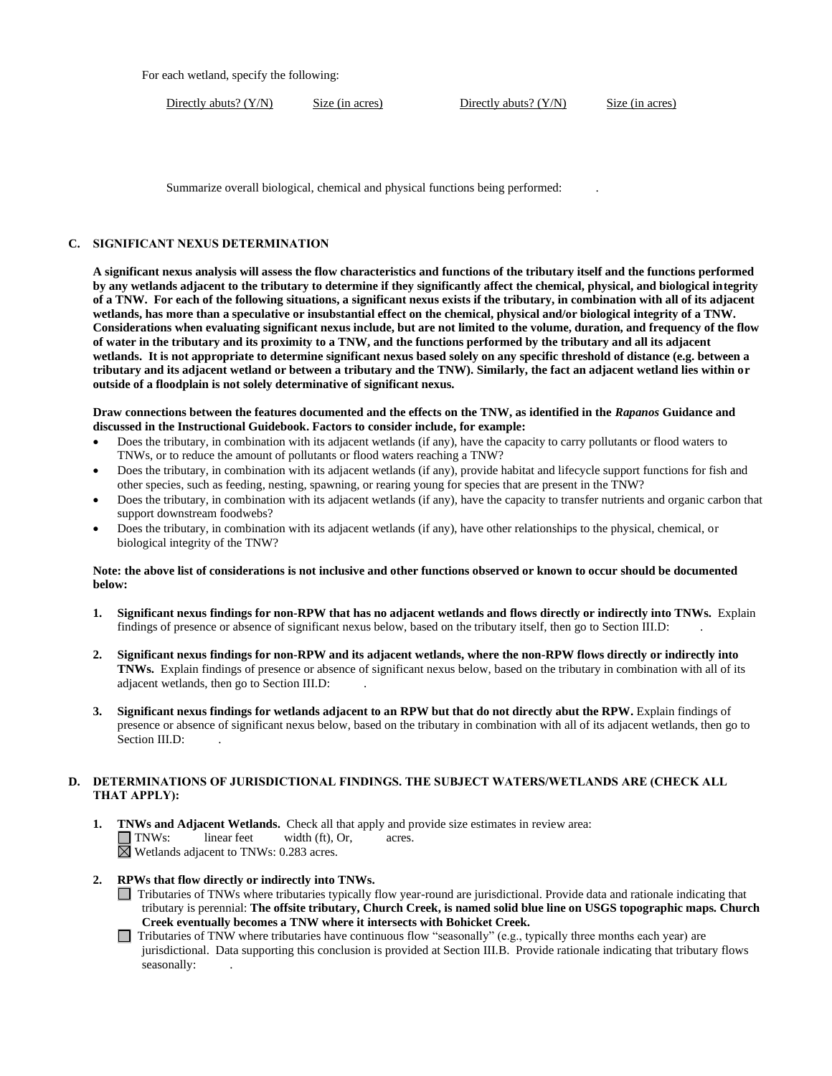For each wetland, specify the following:

Directly abuts? (Y/N)

Size (in acres) Directly abuts? (Y/N) Size (in acres)

Summarize overall biological, chemical and physical functions being performed:

## **C. SIGNIFICANT NEXUS DETERMINATION**

 **A significant nexus analysis will assess the flow characteristics and functions of the tributary itself and the functions performed by any wetlands adjacent to the tributary to determine if they significantly affect the chemical, physical, and biological integrity of a TNW. For each of the following situations, a significant nexus exists if the tributary, in combination with all of its adjacent wetlands, has more than a speculative or insubstantial effect on the chemical, physical and/or biological integrity of a TNW. Considerations when evaluating significant nexus include, but are not limited to the volume, duration, and frequency of the flow of water in the tributary and its proximity to a TNW, and the functions performed by the tributary and all its adjacent wetlands. It is not appropriate to determine significant nexus based solely on any specific threshold of distance (e.g. between a tributary and its adjacent wetland or between a tributary and the TNW). Similarly, the fact an adjacent wetland lies within or outside of a floodplain is not solely determinative of significant nexus.** 

 **Draw connections between the features documented and the effects on the TNW, as identified in the** *Rapanos* **Guidance and discussed in the Instructional Guidebook. Factors to consider include, for example:** 

- • Does the tributary, in combination with its adjacent wetlands (if any), have the capacity to carry pollutants or flood waters to TNWs, or to reduce the amount of pollutants or flood waters reaching a TNW?
- Does the tributary, in combination with its adjacent wetlands (if any), provide habitat and lifecycle support functions for fish and other species, such as feeding, nesting, spawning, or rearing young for species that are present in the TNW?
- • Does the tributary, in combination with its adjacent wetlands (if any), have the capacity to transfer nutrients and organic carbon that support downstream foodwebs?
- • Does the tributary, in combination with its adjacent wetlands (if any), have other relationships to the physical, chemical, or biological integrity of the TNW?

### **Note: the above list of considerations is not inclusive and other functions observed or known to occur should be documented below:**

- **1. Significant nexus findings for non-RPW that has no adjacent wetlands and flows directly or indirectly into TNWs.** Explain findings of presence or absence of significant nexus below, based on the tributary itself, then go to Section III.D: .
- **2. Significant nexus findings for non-RPW and its adjacent wetlands, where the non-RPW flows directly or indirectly into TNWs.** Explain findings of presence or absence of significant nexus below, based on the tributary in combination with all of its adjacent wetlands, then go to Section III.D: .
- **3. Significant nexus findings for wetlands adjacent to an RPW but that do not directly abut the RPW.** Explain findings of presence or absence of significant nexus below, based on the tributary in combination with all of its adjacent wetlands, then go to Section III.D:

# **D. DETERMINATIONS OF JURISDICTIONAL FINDINGS. THE SUBJECT WATERS/WETLANDS ARE (CHECK ALL THAT APPLY):**

- **1. TNWs and Adjacent Wetlands.** Check all that apply and provide size estimates in review area:  $\Box$  TNWs: linear feet width (ft), Or, acres. Wetlands adjacent to TNWs: 0.283 acres.
- **2. RPWs that flow directly or indirectly into TNWs.** 
	- tributary is perennial: **The offsite tributary, Church Creek, is named solid blue line on USGS topographic maps. Church Creek eventually becomes a TNW where it intersects with Bohicket Creek.**  Tributaries of TNWs where tributaries typically flow year-round are jurisdictional. Provide data and rationale indicating that
	- Tributaries of TNW where tributaries have continuous flow "seasonally" (e.g., typically three months each year) are jurisdictional. Data supporting this conclusion is provided at Section III.B. Provide rationale indicating that tributary flows seasonally: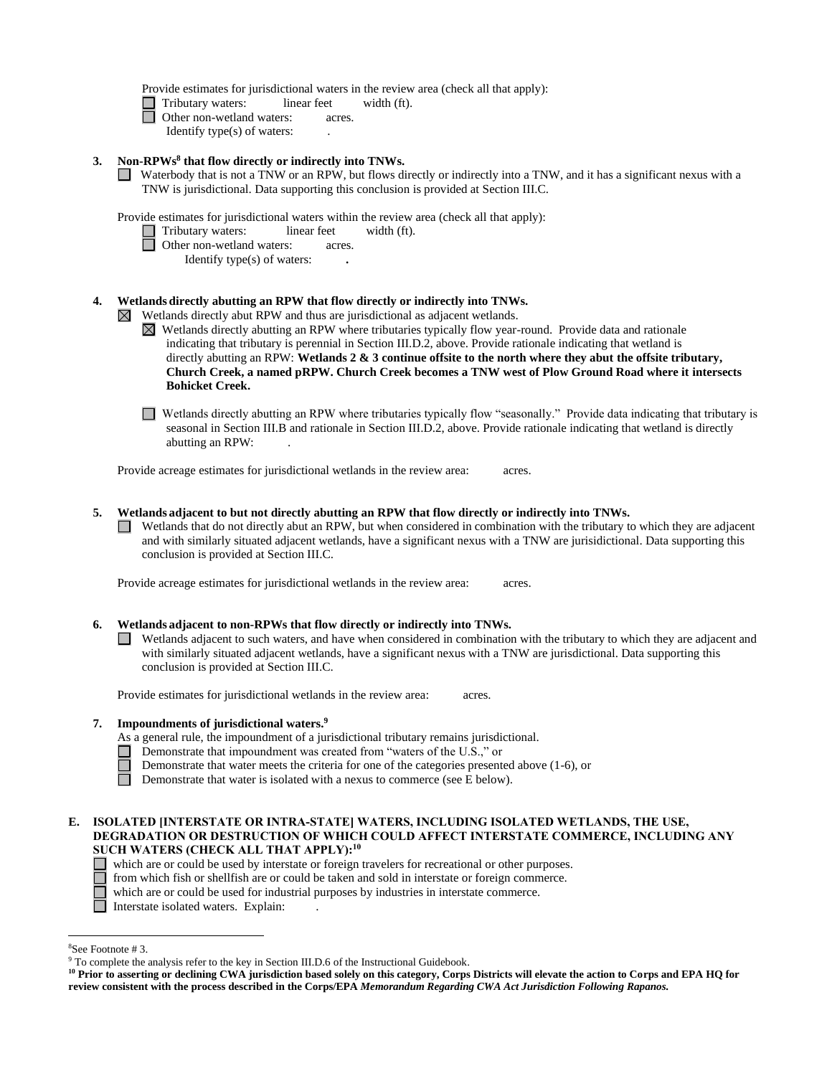Provide estimates for jurisdictional waters in the review area (check all that apply):

- Tributary waters: linear feet width (ft). ■ **Tributary waters:** linear feet<br>
Other non-wetland waters: acres.<br>
Identify type(c) of waters: acres.
- - Identify type(s) of waters: .

#### $\mathbf{3}$ . **3. Non-RPWs8 that flow directly or indirectly into TNWs.**

■ Waterbody that is not a TNW or an RPW, but flows directly or indirectly into a TNW, and it has a significant nexus with a TNW is invisible to prove the conclusion is provided at Section III C TNW is jurisdictional. Data supporting this conclusion is provided at Section III.C.

Provide estimates for jurisdictional waters within the review area (check all that apply):

- Tributary waters: linear feet width (ft). ■ **Tributary waters:** linear feet<br>
Other non-wetland waters: acres.<br> **Lantify type(c)** of waters:
	- - Identify type(s) of waters: **.**

### **4. Wetlands directly abutting an RPW that flow directly or indirectly into TNWs.**

 $\boxtimes$  Wetlands directly abut RPW and thus are jurisdictional as adjacent wetlands.

 Wetlands directly abutting an RPW where tributaries typically flow year-round. Provide data and rationale indicating that tributary is perennial in Section III.D.2, above. Provide rationale indicating that wetland is directly abutting an RPW: **Wetlands 2 & 3 continue offsite to the north where they abut the offsite tributary, Church Creek, a named pRPW. Church Creek becomes a TNW west of Plow Ground Road where it intersects Bohicket Creek.** 

□ Wetlands directly abutting an RPW where tributaries typically flow "seasonally." Provide data indicating that tributary is<br>seasonal in Section III B and rationale in Section III D 2, above. Provide rationals indicating seasonal in Section III.B and rationale in Section III.D.2, above. Provide rationale indicating that wetland is directly abutting an RPW: .

Provide acreage estimates for jurisdictional wetlands in the review area: acres.

#### **5. Wetlands adjacent to but not directly abutting an RPW that flow directly or indirectly into TNWs.**

 $\Box$  Wetlands that do not directly abut an RPW, but when considered in combination with the tributary to which they are adjacent and with similarly situated adjacent wetlands, have a significant nexus with a TNW are invis and with similarly situated adjacent wetlands, have a significant nexus with a TNW are jurisidictional. Data supporting this conclusion is provided at Section III.C.

Provide acreage estimates for jurisdictional wetlands in the review area: acres.

### **6. Wetlands adjacent to non-RPWs that flow directly or indirectly into TNWs.**

□ Wetlands adjacent to such waters, and have when considered in combination with the tributary to which they are adjacent and with similarly situated adjacent watlands have a significant nexus with a TNW are jurisdictiona with similarly situated adjacent wetlands, have a significant nexus with a TNW are jurisdictional. Data supporting this conclusion is provided at Section III.C.

Provide estimates for jurisdictional wetlands in the review area: acres.

### **7. Impoundments of jurisdictional waters. 9**

- As a general rule, the impoundment of a jurisdictional tributary remains jurisdictional.
- Demonstrate that impoundment was created from "waters of the U.S.," or
- Demonstrate that water meets the criteria for one of the categories presented above (1-6), or

 $\Box$ Demonstrate that water is isolated with a nexus to commerce (see E below).

### **DEGRADATION OR DESTRUCTION OF WHICH COULD AFFECT INTERSTATE COMMERCE, INCLUDING ANY SUCH WATERS (CHECK ALL THAT APPLY):10 E. ISOLATED [INTERSTATE OR INTRA-STATE] WATERS, INCLUDING ISOLATED WETLANDS, THE USE,**

- which are or could be used by interstate or foreign travelers for recreational or other purposes.
- from which fish or shellfish are or could be taken and sold in interstate or foreign commerce.
- which are or could be used for industrial purposes by industries in interstate commerce.
- Interstate isolated waters. Explain: .

<sup>&</sup>lt;sup>8</sup>See

<sup>&</sup>lt;sup>8</sup>See Footnote # 3.<br><sup>9</sup> To complete the analysis refer to the key in Section III.D.6 of the Instructional Guidebook.

<sup>&</sup>lt;sup>10</sup> Prior to asserting or declining CWA jurisdiction based solely on this category, Corps Districts will elevate the action to Corps and EPA HQ for  **review consistent with the process described in the Corps/EPA** *Memorandum Regarding CWA Act Jurisdiction Following Rapanos.*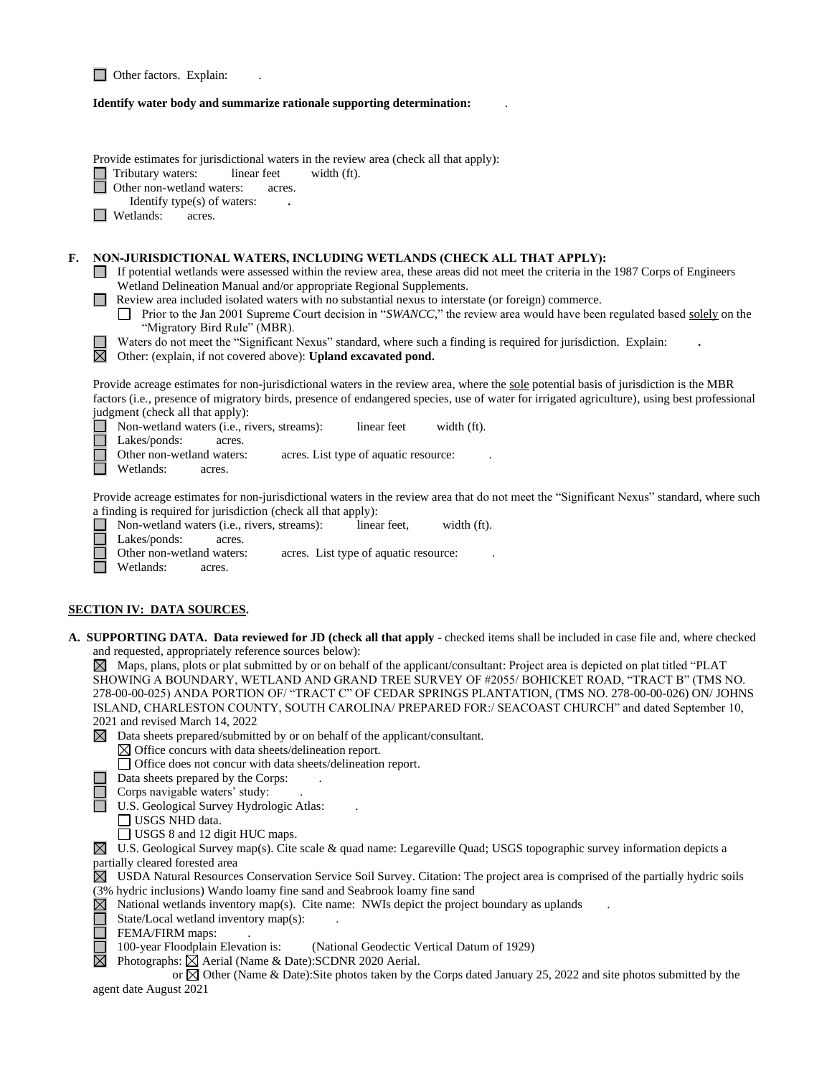|    | Other factors. Explain:                                                                                                                                                                                                                                                                                                                                                                                                                                                                                                                                                                                                                                                                                                                                                                                                                                        |
|----|----------------------------------------------------------------------------------------------------------------------------------------------------------------------------------------------------------------------------------------------------------------------------------------------------------------------------------------------------------------------------------------------------------------------------------------------------------------------------------------------------------------------------------------------------------------------------------------------------------------------------------------------------------------------------------------------------------------------------------------------------------------------------------------------------------------------------------------------------------------|
|    | Identify water body and summarize rationale supporting determination:                                                                                                                                                                                                                                                                                                                                                                                                                                                                                                                                                                                                                                                                                                                                                                                          |
|    | Provide estimates for jurisdictional waters in the review area (check all that apply):<br>Tributary waters:<br>linear feet<br>width (ft).<br>Other non-wetland waters:<br>acres.<br>Identify type(s) of waters:<br>Wetlands:<br>acres.                                                                                                                                                                                                                                                                                                                                                                                                                                                                                                                                                                                                                         |
| F. | NON-JURISDICTIONAL WATERS, INCLUDING WETLANDS (CHECK ALL THAT APPLY):<br>If potential wetlands were assessed within the review area, these areas did not meet the criteria in the 1987 Corps of Engineers<br>Wetland Delineation Manual and/or appropriate Regional Supplements.<br>Review area included isolated waters with no substantial nexus to interstate (or foreign) commerce.<br>□ Prior to the Jan 2001 Supreme Court decision in "SWANCC," the review area would have been regulated based solely on the<br>"Migratory Bird Rule" (MBR).<br>Waters do not meet the "Significant Nexus" standard, where such a finding is required for jurisdiction. Explain:<br>$\boxtimes$<br>Other: (explain, if not covered above): Upland excavated pond.                                                                                                      |
|    | Provide acreage estimates for non-jurisdictional waters in the review area, where the sole potential basis of jurisdiction is the MBR<br>factors (i.e., presence of migratory birds, presence of endangered species, use of water for irrigated agriculture), using best professional<br>judgment (check all that apply):<br>Non-wetland waters (i.e., rivers, streams):<br>linear feet<br>width (ft).<br>Lakes/ponds:<br>acres.<br>Other non-wetland waters:<br>acres. List type of aquatic resource:<br>Wetlands:<br>acres.                                                                                                                                                                                                                                                                                                                                  |
|    | Provide acreage estimates for non-jurisdictional waters in the review area that do not meet the "Significant Nexus" standard, where such<br>a finding is required for jurisdiction (check all that apply):<br>Non-wetland waters (i.e., rivers, streams):<br>linear feet,<br>width (ft).<br>Lakes/ponds:<br>acres.<br>Other non-wetland waters:<br>acres. List type of aquatic resource:<br>Wetlands:<br>acres.                                                                                                                                                                                                                                                                                                                                                                                                                                                |
|    | <u>SECTION IV: DATA SOURCES.</u>                                                                                                                                                                                                                                                                                                                                                                                                                                                                                                                                                                                                                                                                                                                                                                                                                               |
|    | A. SUPPORTING DATA. Data reviewed for JD (check all that apply - checked items shall be included in case file and, where checked<br>and requested, appropriately reference sources below):<br>$\boxtimes$ Maps, plans, plots or plat submitted by or on behalf of the applicant/consultant: Project area is depicted on plat titled "PLAT"<br>SHOWING A BOUNDARY, WETLAND AND GRAND TREE SURVEY OF #2055/BOHICKET ROAD, "TRACT B" (TMS NO.<br>278-00-00-025) ANDA PORTION OF/ "TRACT C" OF CEDAR SPRINGS PLANTATION, (TMS NO. 278-00-00-026) ON/ JOHNS<br>ISLAND, CHARLESTON COUNTY, SOUTH CAROLINA/ PREPARED FOR:/ SEACOAST CHURCH" and dated September 10,<br>2021 and revised March 14, 2022<br>Data sheets prepared/submitted by or on behalf of the applicant/consultant.<br>$\bowtie$<br>$\boxtimes$ Office concurs with data sheets/delineation report. |
|    | Office does not concur with data sheets/delineation report.<br>Data sheets prepared by the Corps:<br>Corps navigable waters' study:<br>U.S. Geological Survey Hydrologic Atlas:<br>$\Box$ USGS NHD data.<br>□ USGS 8 and 12 digit HUC maps.                                                                                                                                                                                                                                                                                                                                                                                                                                                                                                                                                                                                                    |
|    | $\boxtimes$<br>U.S. Geological Survey map(s). Cite scale & quad name: Legareville Quad; USGS topographic survey information depicts a<br>partially cleared forested area<br>$\boxtimes$<br>USDA Natural Resources Conservation Service Soil Survey. Citation: The project area is comprised of the partially hydric soils<br>(3% hydric inclusions) Wando loamy fine sand and Seabrook loamy fine sand<br>National wetlands inventory map(s). Cite name: NWIs depict the project boundary as uplands<br>State/Local wetland inventory map(s):<br>$\ddot{\phantom{a}}$<br>FEMA/FIRM maps:<br>100-year Floodplain Elevation is:<br>(National Geodectic Vertical Datum of 1929)<br>$\boxtimes$<br>Photographs: $\boxtimes$ Aerial (Name & Date): SCDNR 2020 Aerial.                                                                                               |
|    | or $\boxtimes$ Other (Name & Date): Site photos taken by the Corps dated January 25, 2022 and site photos submitted by the<br>agent date August 2021                                                                                                                                                                                                                                                                                                                                                                                                                                                                                                                                                                                                                                                                                                           |